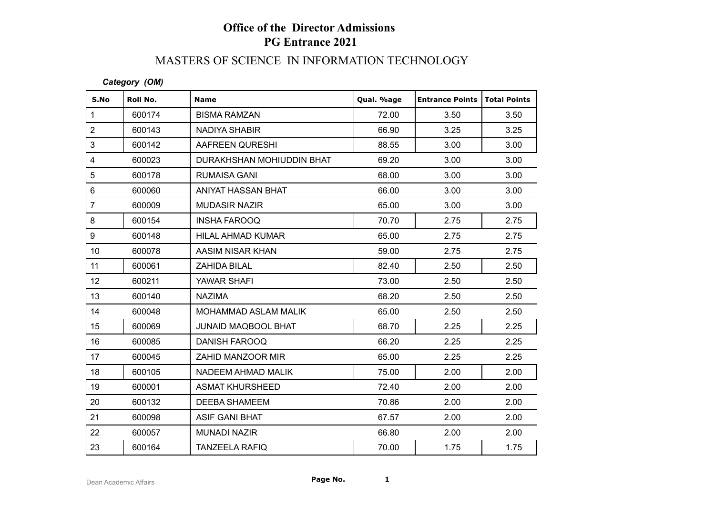# **Office of the Director Admissions PG Entrance 2021**

#### MASTERS OF SCIENCE IN INFORMATION TECHNOLOGY

#### *Category (OM)*

| S.No                    | Roll No. | <b>Name</b>                | Qual. %age | <b>Entrance Points   Total Points</b> |      |
|-------------------------|----------|----------------------------|------------|---------------------------------------|------|
| $\mathbf{1}$            | 600174   | <b>BISMA RAMZAN</b>        | 72.00      | 3.50                                  | 3.50 |
| $\overline{2}$          | 600143   | NADIYA SHABIR              | 66.90      | 3.25                                  | 3.25 |
| 3                       | 600142   | AAFREEN QURESHI            | 88.55      | 3.00                                  | 3.00 |
| $\overline{\mathbf{4}}$ | 600023   | DURAKHSHAN MOHIUDDIN BHAT  | 69.20      | 3.00                                  | 3.00 |
| 5                       | 600178   | RUMAISA GANI               | 68.00      | 3.00                                  | 3.00 |
| 6                       | 600060   | ANIYAT HASSAN BHAT         | 66.00      | 3.00                                  | 3.00 |
| $\overline{7}$          | 600009   | <b>MUDASIR NAZIR</b>       | 65.00      | 3.00                                  | 3.00 |
| 8                       | 600154   | <b>INSHA FAROOQ</b>        | 70.70      | 2.75                                  | 2.75 |
| 9                       | 600148   | HILAL AHMAD KUMAR          | 65.00      | 2.75                                  | 2.75 |
| 10                      | 600078   | AASIM NISAR KHAN           | 59.00      | 2.75                                  | 2.75 |
| 11                      | 600061   | ZAHIDA BILAL               | 82.40      | 2.50                                  | 2.50 |
| 12                      | 600211   | YAWAR SHAFI                | 73.00      | 2.50                                  | 2.50 |
| 13                      | 600140   | <b>NAZIMA</b>              | 68.20      | 2.50                                  | 2.50 |
| 14                      | 600048   | MOHAMMAD ASLAM MALIK       | 65.00      | 2.50                                  | 2.50 |
| 15                      | 600069   | <b>JUNAID MAQBOOL BHAT</b> | 68.70      | 2.25                                  | 2.25 |
| 16                      | 600085   | DANISH FAROOQ              | 66.20      | 2.25                                  | 2.25 |
| 17                      | 600045   | ZAHID MANZOOR MIR          | 65.00      | 2.25                                  | 2.25 |
| 18                      | 600105   | NADEEM AHMAD MALIK         | 75.00      | 2.00                                  | 2.00 |
| 19                      | 600001   | <b>ASMAT KHURSHEED</b>     | 72.40      | 2.00                                  | 2.00 |
| 20                      | 600132   | <b>DEEBA SHAMEEM</b>       | 70.86      | 2.00                                  | 2.00 |
| 21                      | 600098   | <b>ASIF GANI BHAT</b>      | 67.57      | 2.00                                  | 2.00 |
| 22                      | 600057   | <b>MUNADI NAZIR</b>        | 66.80      | 2.00                                  | 2.00 |
| 23                      | 600164   | <b>TANZEELA RAFIQ</b>      | 70.00      | 1.75                                  | 1.75 |